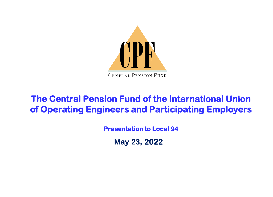

#### **The Central Pension Fund of the International Union of Operating Engineers and Participating Employers**

**Presentation to Local 94**

**May 23, 2022**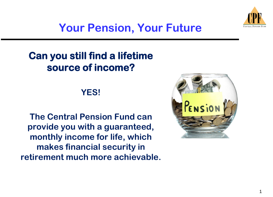

### **Your Pension, Your Future**

#### **Can you still find a lifetime source of income?**

#### **YES!**

**The Central Pension Fund can provide you with a guaranteed, monthly income for life, which makes financial security in retirement much more achievable.**

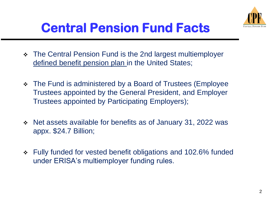

# **Central Pension Fund Facts**

- ❖ The Central Pension Fund is the 2nd largest multiemployer defined benefit pension plan in the United States;
- ❖ The Fund is administered by a Board of Trustees (Employee Trustees appointed by the General President, and Employer Trustees appointed by Participating Employers);
- ❖ Net assets available for benefits as of January 31, 2022 was appx. \$24.7 Billion;
- ❖ Fully funded for vested benefit obligations and 102.6% funded under ERISA's multiemployer funding rules.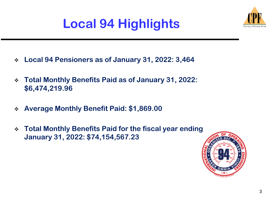# **Local 94 Highlights**



- ❖ **Local 94 Pensioners as of January 31, 2022: 3,464**
- ❖ **Total Monthly Benefits Paid as of January 31, 2022: \$6,474,219.96**
- ❖ **Average Monthly Benefit Paid: \$1,869.00**
- ❖ **Total Monthly Benefits Paid for the fiscal year ending January 31, 2022: \$74,154,567.23**

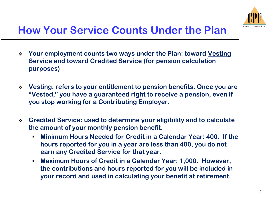

- ❖ **Your employment counts two ways under the Plan: toward Vesting Service and toward Credited Service (for pension calculation purposes)**
- ❖ **Vesting: refers to your entitlement to pension benefits. Once you are "Vested," you have a guaranteed right to receive a pension, even if you stop working for a Contributing Employer.**
- ❖ **Credited Service: used to determine your eligibility and to calculate the amount of your monthly pension benefit.**
	- **Minimum Hours Needed for Credit in a Calendar Year: 400. If the hours reported for you in a year are less than 400, you do not earn any Credited Service for that year.**
	- Maximum Hours of Credit in a Calendar Year: 1,000. However, **the contributions and hours reported for you will be included in your record and used in calculating your benefit at retirement.**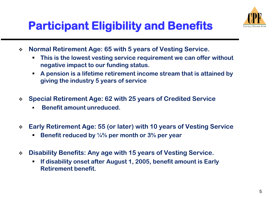

## **Participant Eligibility and Benefits**

- ❖ **Normal Retirement Age: 65 with 5 years of Vesting Service.**
	- **This is the lowest vesting service requirement we can offer without negative impact to our funding status.**
	- **A pension is a lifetime retirement income stream that is attained by giving the industry 5 years of service**
- ❖ **Special Retirement Age: 62 with 25 years of Credited Service**
	- **Benefit amount unreduced.**
- ❖ **Early Retirement Age: 55 (or later) with 10 years of Vesting Service**
	- **Benefit reduced by 1/4% per month or 3% per year**
- ❖ **Disability Benefits: Any age with 15 years of Vesting Service.** 
	- If disability onset after August 1, 2005, benefit amount is Early **Retirement benefit.**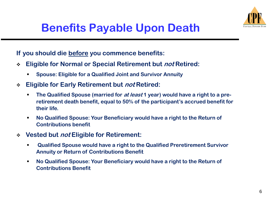

### **Benefits Payable Upon Death**

**If you should die before you commence benefits:** 

- ❖ **Eligible for Normal or Special Retirement but not Retired:**
	- **Spouse: Eligible for a Qualified Joint and Survivor Annuity**
- ❖ **Eligible for Early Retirement but not Retired:** 
	- **The Qualified Spouse (married for** *at least* **1 year) would have a right to a preretirement death benefit, equal to 50% of the participant's accrued benefit for their life.**
	- No Qualified Spouse: Your Beneficiary would have a right to the Return of **Contributions benefit**
- ❖ **Vested but not Eligible for Retirement:**
	- **Qualified Spouse would have a right to the Qualified Preretirement Survivor Annuity or Return of Contributions Benefit**
	- **No Qualified Spouse: Your Beneficiary would have a right to the Return of Contributions Benefit**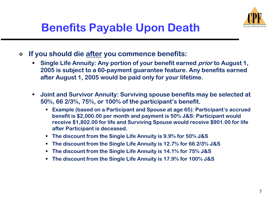

- ❖ **If you should die after you commence benefits:**
	- **Single Life Annuity: Any portion of your benefit earned** *prior* **to August 1, 2005 is subject to a 60-payment guarantee feature. Any benefits earned after August 1, 2005 would be paid only for your lifetime.**
	- Joint and Survivor Annuity: Surviving spouse benefits may be selected at **50%, 66 2/3%, 75%, or 100% of the participant's benefit.** 
		- **Example (based on a Participant and Spouse at age 65): Participant's accrued benefit is \$2,000.00 per month and payment is 50% J&S: Participant would receive \$1,802.00 for life and Surviving Spouse would receive \$901.00 for life after Participant is deceased.**
		- **The discount from the Single Life Annuity is 9.9% for 50% J&S**
		- **The discount from the Single Life Annuity is 12.7% for 66 2/3% J&S**
		- **The discount from the Single Life Annuity is 14.1% for 75% J&S**
		- **The discount from the Single Life Annuity is 17.9% for 100% J&S**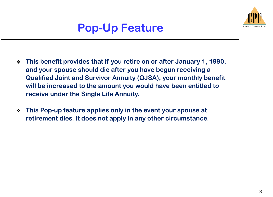

## **Pop-Up Feature**

- ❖ **This benefit provides that if you retire on or after January 1, 1990, and your spouse should die after you have begun receiving a Qualified Joint and Survivor Annuity (QJSA), your monthly benefit will be increased to the amount you would have been entitled to receive under the Single Life Annuity.**
- ❖ **This Pop-up feature applies only in the event your spouse at retirement dies. It does not apply in any other circumstance.**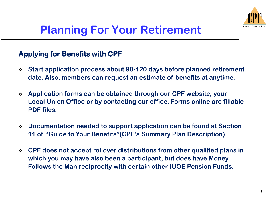

#### **Applying for Benefits with CPF**

- ❖ **Start application process about 90-120 days before planned retirement date. Also, members can request an estimate of benefits at anytime.**
- ❖ **Application forms can be obtained through our CPF website, your Local Union Office or by contacting our office. Forms online are fillable PDF files.**
- ❖ **Documentation needed to support application can be found at Section 11 of "Guide to Your Benefits"(CPF's Summary Plan Description).**
- ❖ **CPF does not accept rollover distributions from other qualified plans in which you may have also been a participant, but does have Money Follows the Man reciprocity with certain other IUOE Pension Funds.**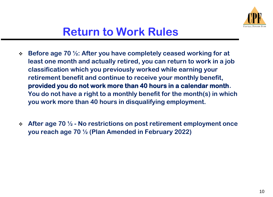

- ❖ **Before age 70 ½: After you have completely ceased working for at least one month and actually retired, you can return to work in a job classification which you previously worked while earning your retirement benefit and continue to receive your monthly benefit, provided you do not work more than 40 hours in a calendar month. You do not have a right to a monthly benefit for the month(s) in which you work more than 40 hours in disqualifying employment.**
- ❖ **After age 70 ½ - No restrictions on post retirement employment once you reach age 70 ½ (Plan Amended in February 2022)**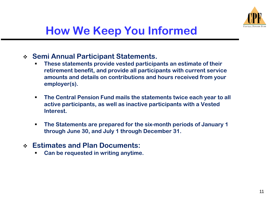

- ❖ **Semi Annual Participant Statements.** 
	- **These statements provide vested participants an estimate of their retirement benefit, and provide all participants with current service amounts and details on contributions and hours received from your employer(s).**
	- The Central Pension Fund mails the statements twice each year to all **active participants, as well as inactive participants with a Vested Interest.**
	- **The Statements are prepared for the six-month periods of January 1 through June 30, and July 1 through December 31.**
- ❖ **Estimates and Plan Documents:**
	- **Can be requested in writing anytime.**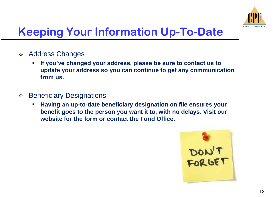

# **Keeping Your Information Up-To-Date**

- ❖ Address Changes
	- If you've changed your address, please be sure to contact us to **update your address so you can continue to get any communication from us.**
- ❖ Beneficiary Designations
	- **Having an up-to-date beneficiary designation on file ensures your benefit goes to the person you want it to, with no delays. Visit our website for the form or contact the Fund Office.**